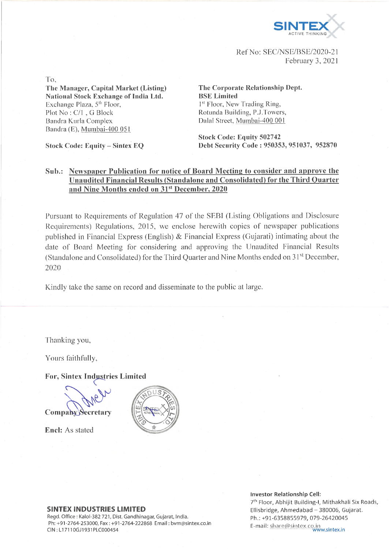

Ref No: SEC/NSE/BSE/2020-21 February 3, 2021

To,

**The Manager, Capital Market (Listing) National Stock Exchange of India Ltd.** Exchange Plaza,  $5<sup>th</sup>$  Floor, Plot No : C/l , G Block Bandra Kurla Complex Bandra (E), Mumbai-400 051

**Stock Code: Equity - Sintex EQ**

**The Corporate Relationship Dept. BSE Limited** 1<sup>st</sup> Floor, New Trading Ring, Rotunda Building, P.J.Towers, Dalai Street, Mumbai-400 001

**Stock Code: Equity 502742 Debt Security Code : 950353, 951037, 952870**

### **Sub.: Newspaper Publication for notice of Board Meeting to consider and approve the Unaudited Financial Results (Standalone and Consolidated) for the Third Quarter and Nine Months ended on 31st December, 2020**

Pursuant to Requirements of Regulation 47 of the SEBI (Listing Obligations and Disclosure Requirements) Regulations, 2015, we enclose herewith copies of newspaper publications published in Financial Express (English) & Financial Express (Gujarati) intimating about the date of Board Meeting for considering and approving the Unaudited Financial Results (Standalone and Consolidated) for the Third Quarter and Nine Months ended on 31<sup>st</sup> December, 2020

Kindly take the same on record and disseminate to the public at large.

Thanking you,

Yours faithfully,

**For, Sintex Industries Limited**

Company Secretary

**Enel:** As stated



#### **SINTEX INDUSTRIES LIMITED**

Regd. Office : Kalol-382 721, Dist. Gandhinagar, Gujarat, India. Ph: +91-2764-253000, Fax: +91-2764-222868 Email: [bvm@sintex.co.in](mailto:bvm@sintex.co.in) CIN : LI 7110GJ1931PLC000454

**Investor Relationship Cell:**

7th Floor, Abhijit Building-1, Mithakhali Six Roads, Ellisbridge, Ahmedabad - 380006, Gujarat. Ph.: +91-6358855979, 079-26420045 E-mail: share@sintex.co.in<br>www.sintex.in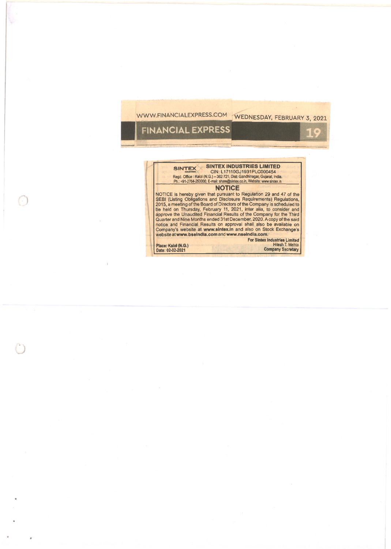# WWW.FINANCIALEXPRESS.COM WEDNESDAY, FEBRUARY 3, 2021

II.

## **FINANCIAL EXPRESS**

### SINTEX SINTEX INDUSTRIES LIMITED CIN: L17110GJ1931PLC000454<br>Regd. Office: Kalol (N.G.) – 382 721, Dist: Gandhinagar, Gujarat, India.<br>Ph.: +91-2764-253000, E-mail: [share@sintex.co.in](mailto:share@sintex.co.in), Website: www.sintex.in **NOTICE**

NOTICE is hereby given that pursuant to Regulation 29 and 47 of the SEBI (Listing Obligations and Disclosure Requirements) Regulations, 2015, a meeting of the Board of Directors of the Company is scheduled to be held on Th website at [www.bseindia.com](http://www.bseindia.com) and [www.nseindia.com.](http://www.nseindia.com)

**For Sintex Industries Limited Place: Kalol (N.G.)** Hitesh T. Mehta **Date: 02-02-2021 Company Secretary**